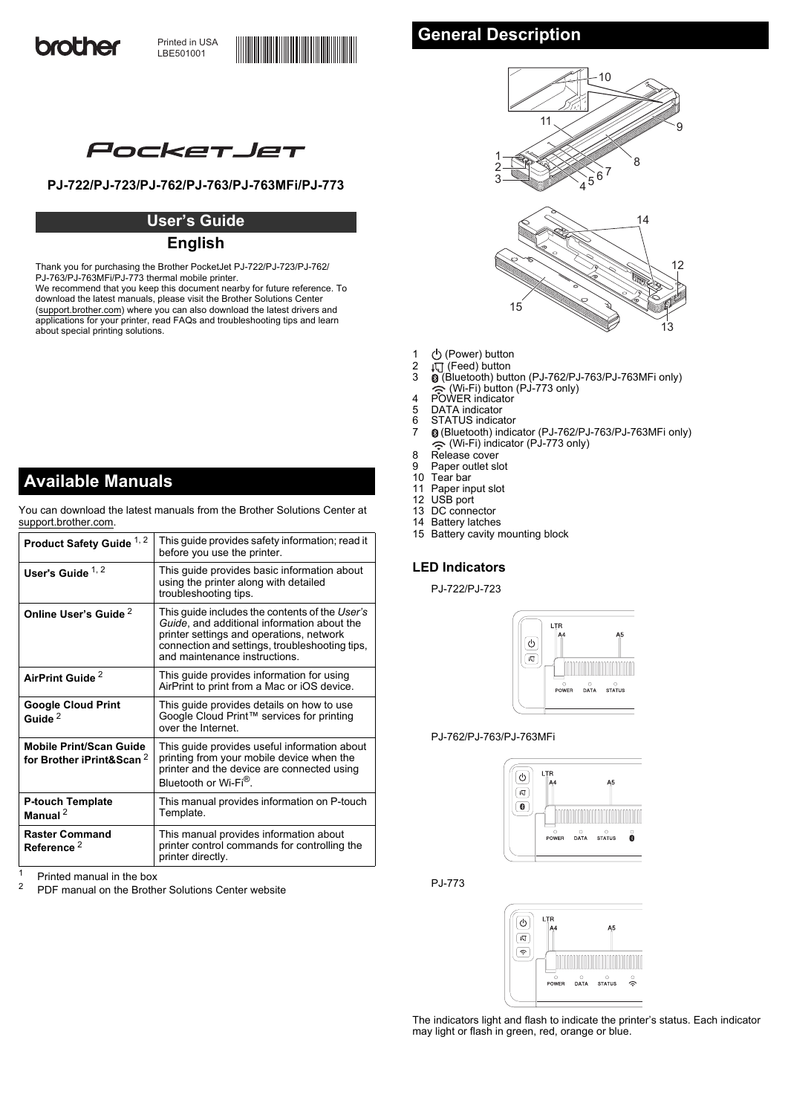

# PocketJet

# **PJ-722/PJ-723/PJ-762/PJ-763/PJ-763MFi/PJ-773**

# **User's Guide**

# **English**

Thank you for purchasing the Brother PocketJet PJ-722/PJ-723/PJ-762/ PJ-763/PJ-763MFi/PJ-773 thermal mobile printer. We recommend that you keep this document nearby for future reference. To download the latest manuals, please visit the Brother Solutions Center [\(support.brother.com\)](http://support.brother.com) where you can also download the latest drivers and applications for your printer, read FAQs and troubleshooting tips and learn

**Available Manuals**

about special printing solutions.

You can download the latest manuals from the Brother Solutions Center at [support.brother.com.](http://support.brother.com/)

| Product Safety Guide <sup>1,2</sup>                                    | This guide provides safety information; read it<br>before you use the printer.                                                                                                                                               |
|------------------------------------------------------------------------|------------------------------------------------------------------------------------------------------------------------------------------------------------------------------------------------------------------------------|
| User's Guide $1, 2$                                                    | This guide provides basic information about<br>using the printer along with detailed<br>troubleshooting tips.                                                                                                                |
| Online User's Guide <sup>2</sup>                                       | This guide includes the contents of the User's<br>Guide, and additional information about the<br>printer settings and operations, network<br>connection and settings, troubleshooting tips,<br>and maintenance instructions. |
| AirPrint Guide <sup>2</sup>                                            | This guide provides information for using<br>AirPrint to print from a Mac or iOS device.                                                                                                                                     |
| <b>Google Cloud Print</b><br>Guide <sup>2</sup>                        | This guide provides details on how to use<br>Google Cloud Print™ services for printing<br>over the Internet                                                                                                                  |
| <b>Mobile Print/Scan Guide</b><br>for Brother iPrint&Scan <sup>2</sup> | This guide provides useful information about<br>printing from your mobile device when the<br>printer and the device are connected using<br>Bluetooth or Wi-Fi <sup>®</sup> .                                                 |
| <b>P-touch Template</b><br>Manual $^2$                                 | This manual provides information on P-touch<br>Template.                                                                                                                                                                     |
| <b>Raster Command</b><br>Reference <sup>2</sup>                        | This manual provides information about<br>printer control commands for controlling the<br>printer directly.                                                                                                                  |

<span id="page-0-0"></span><sup>1</sup> Printed manual in the box<br><sup>2</sup> PDF manual an the Brath

<span id="page-0-1"></span>PDF manual on the Brother Solutions Center website

# **General Description**



- 1 (b) (Power) button
- $2 \quad \downarrow \sqrt{2}$  (Feed) button<br>3  $\quad$  (Bluetooth) butt
- 3 (Bluetooth) button (PJ-762/PJ-763/PJ-763MFi only)
- (Wi-Fi) button (PJ-773 only) 4 POWER indicator
- 5 DATA indicator<br>6 STATUS indica
- 6 STATUS indicator<br>7 8 (Bluetooth) indic
- 7 (Bluetooth) indicator (PJ-762/PJ-763/PJ-763MFi only) (Wi-Fi) indicator (PJ-773 only)
- 8 Release cover
- 9 Paper outlet slot<br>10 Tear bar
- 10 Tear bar<br>11 Paper in
- Paper input slot
- 12 USB port
- 13 DC connector 14 Battery latches
- 15 Battery cavity mounting block

# **LED Indicators**

PJ-722/PJ-723



PJ-762/PJ-763/PJ-763MFi



PJ-773



The indicators light and flash to indicate the printer's status. Each indicator may light or flash in green, red, orange or blue.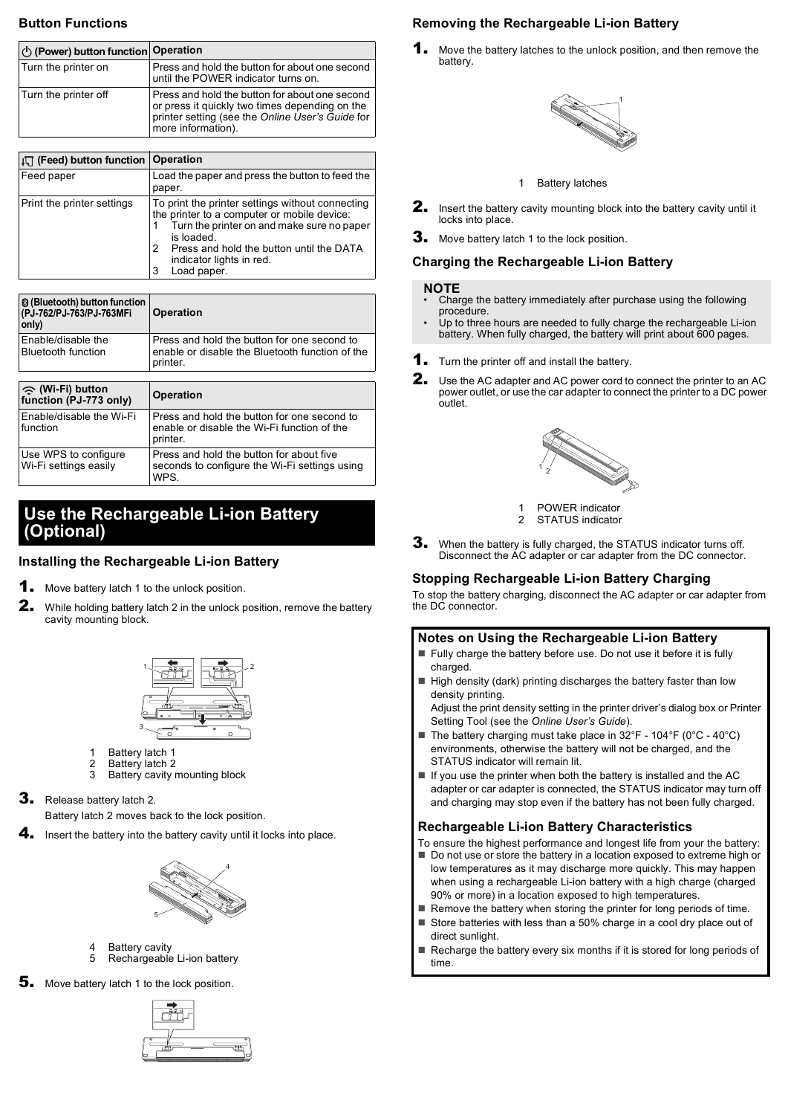## **Button Functions**

| (b) (Power) button function Operation |                                                                                                                                                                            |
|---------------------------------------|----------------------------------------------------------------------------------------------------------------------------------------------------------------------------|
| Turn the printer on                   | Press and hold the button for about one second<br>until the POWER indicator turns on.                                                                                      |
| Turn the printer off                  | Press and hold the button for about one second<br>or press it quickly two times depending on the<br>printer setting (see the Online User's Guide for<br>more information). |

| $\downarrow \Box$ (Feed) button function   Operation |                                                                                                                                                                                                                                                              |
|------------------------------------------------------|--------------------------------------------------------------------------------------------------------------------------------------------------------------------------------------------------------------------------------------------------------------|
| Feed paper                                           | Load the paper and press the button to feed the<br>paper.                                                                                                                                                                                                    |
| Print the printer settings                           | To print the printer settings without connecting<br>the printer to a computer or mobile device:<br>Turn the printer on and make sure no paper<br>is loaded.<br>Press and hold the button until the DATA<br>2<br>indicator lights in red.<br>Load paper.<br>3 |

| <b>8</b> (Bluetooth) button function<br>(PJ-762/PJ-763/PJ-763MFi<br>only) | <b>Operation</b>                                                                                           |
|---------------------------------------------------------------------------|------------------------------------------------------------------------------------------------------------|
| Enable/disable the<br><b>Bluetooth function</b>                           | Press and hold the button for one second to<br>enable or disable the Bluetooth function of the<br>printer. |
|                                                                           |                                                                                                            |
| ◇ (Wi-Fi) button<br>function (PJ-773 only)                                | <b>Operation</b>                                                                                           |
| Enable/disable the Wi-Fi<br>function                                      | Press and hold the button for one second to<br>enable or disable the Wi-Fi function of the<br>printer.     |
| Use WPS to configure<br>Wi-Fi settings easily                             | Press and hold the button for about five<br>seconds to configure the Wi-Fi settings using                  |

# **Use the Rechargeable Li-ion Battery (Optional)**

# **Installing the Rechargeable Li-ion Battery**

- 1. Move battery latch 1 to the unlock position.
- 2. While holding battery latch 2 in the unlock position, remove the battery cavity mounting block.



- 1 Battery latch 1<br>2 Battery latch 2
- 2 Battery latch 2<br>3 Battery cavity Battery cavity mounting block
- **3.** Release battery latch 2.

Battery latch 2 moves back to the lock position.

4. Insert the battery into the battery cavity until it locks into place.



- 4 Battery cavity<br>5 Rechargeable
- Rechargeable Li-ion battery

5. Move battery latch 1 to the lock position.



# **Removing the Rechargeable Li-ion Battery**

Move the battery latches to the unlock position, and then remove the battery.



#### 1 Battery latches

- 2. Insert the battery cavity mounting block into the battery cavity until it locks into place.
- 3. Move battery latch 1 to the lock position.

#### **Charging the Rechargeable Li-ion Battery**

#### **NOTE**

- Charge the battery immediately after purchase using the following procedure.
- Up to three hours are needed to fully charge the rechargeable Li-ion battery. When fully charged, the battery will print about 600 pages.
- **1.** Turn the printer off and install the battery.
- **2.** Use the AC adapter and AC power cord to connect the printer to an AC power outlet, or use the car adapter to connect the printer to a DC power outlet.



1 POWER indicator<br>2 STATUS indicator STATUS indicator

**3.** When the battery is fully charged, the STATUS indicator turns off. Disconnect the AC adapter or car adapter from the DC connector.

### **Stopping Rechargeable Li-ion Battery Charging**

To stop the battery charging, disconnect the AC adapter or car adapter from the DC connector.

### **Notes on Using the Rechargeable Li-ion Battery**

- Fully charge the battery before use. Do not use it before it is fully charged.
- $\blacksquare$  High density (dark) printing discharges the battery faster than low density printing.

Adjust the print density setting in the printer driver's dialog box or Printer Setting Tool (see the *Online User's Guide*).

- The battery charging must take place in 32°F 104°F (0°C 40°C) environments, otherwise the battery will not be charged, and the STATUS indicator will remain lit.
- $\blacksquare$  If you use the printer when both the battery is installed and the AC adapter or car adapter is connected, the STATUS indicator may turn off and charging may stop even if the battery has not been fully charged.

### **Rechargeable Li-ion Battery Characteristics**

To ensure the highest performance and longest life from your the battery: Do not use or store the battery in a location exposed to extreme high or low temperatures as it may discharge more quickly. This may happen when using a rechargeable Li-ion battery with a high charge (charged 90% or more) in a location exposed to high temperatures.

- Remove the battery when storing the printer for long periods of time.
- Store batteries with less than a 50% charge in a cool dry place out of direct sunlight.
- $\blacksquare$  Recharge the battery every six months if it is stored for long periods of time.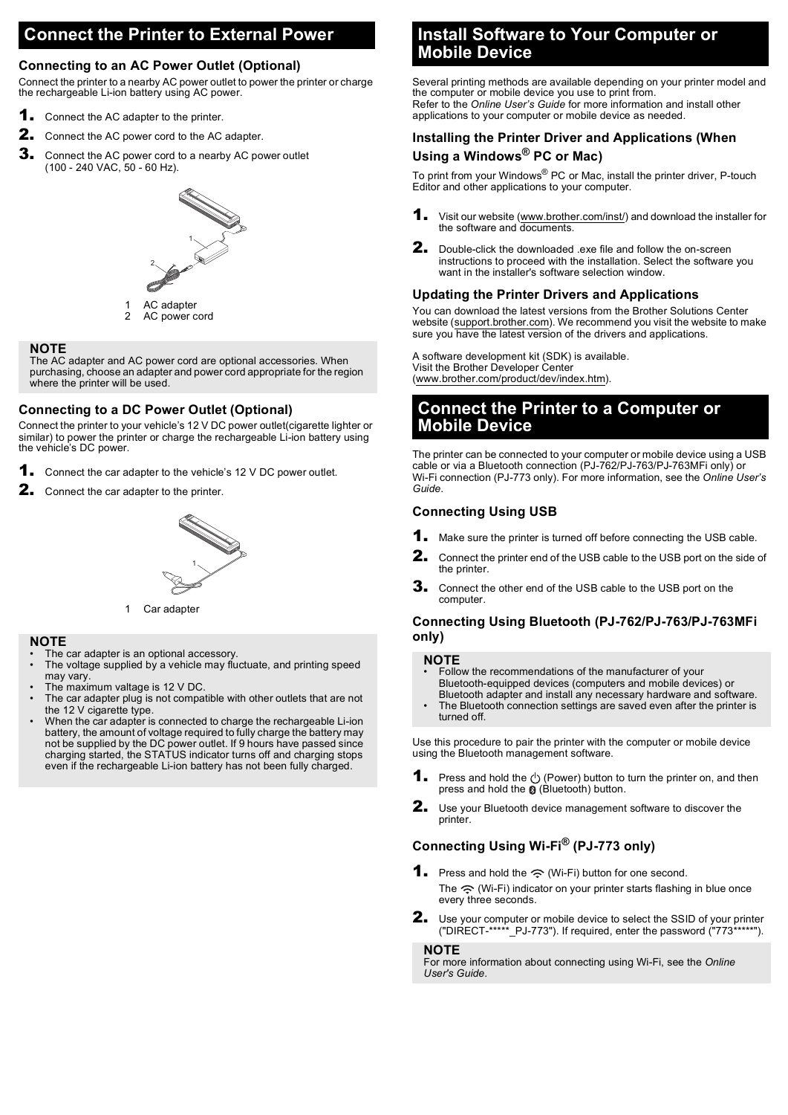# **Connect the Printer to External Power**

### **Connecting to an AC Power Outlet (Optional)**

Connect the printer to a nearby AC power outlet to power the printer or charge the rechargeable Li-ion battery using AC power.

- **1.** Connect the AC adapter to the printer.
- 2. Connect the AC power cord to the AC adapter.
- 3. Connect the AC power cord to a nearby AC power outlet (100 - 240 VAC, 50 - 60 Hz).



1 AC adapter AC power cord

#### **NOTE**

The AC adapter and AC power cord are optional accessories. When purchasing, choose an adapter and power cord appropriate for the region where the printer will be used.

#### **Connecting to a DC Power Outlet (Optional)**

Connect the printer to your vehicle's 12 V DC power outlet(cigarette lighter or similar) to power the printer or charge the rechargeable Li-ion battery using the vehicle's DC power.

- **1.** Connect the car adapter to the vehicle's 12 V DC power outlet.
- **2.** Connect the car adapter to the printer.



1 Car adapter

#### **NOTE**

- The car adapter is an optional accessory
- The voltage supplied by a vehicle may fluctuate, and printing speed may vary.
- The maximum valtage is 12 V DC.
- The car adapter plug is not compatible with other outlets that are not the 12 V cigarette type.
- When the car adapter is connected to charge the rechargeable Li-ion battery, the amount of voltage required to fully charge the battery may not be supplied by the DC power outlet. If 9 hours have passed since charging started, the STATUS indicator turns off and charging stops even if the rechargeable Li-ion battery has not been fully charged.

# **Install Software to Your Computer or Mobile Device**

Several printing methods are available depending on your printer model and the computer or mobile device you use to print from. Refer to the *Online User's Guide* for more information and install other applications to your computer or mobile device as needed.

### **Installing the Printer Driver and Applications (When Using a Windows® PC or Mac)**

To print from your Windows® PC or Mac, install the printer driver, P-touch Editor and other applications to your computer.

- **1.** Visit our website [\(www.brother.com/inst/](http://www.brother.com/inst/)) and download the installer for the software and documents.
- 2. Double-click the downloaded .exe file and follow the on-screen instructions to proceed with the installation. Select the software you want in the installer's software selection window.

### **Updating the Printer Drivers and Applications**

You can download the latest versions from the Brother Solutions Center website [\(support.brother.com\)](http://support.brother.com). We recommend you visit the website to make sure you have the latest version of the drivers and applications.

A software development kit (SDK) is available. Visit the Brother Developer Center [\(www.brother.com/product/dev/index.htm\)](http://www.brother.com/product/dev/index.htm).

# **Connect the Printer to a Computer or Mobile Device**

The printer can be connected to your computer or mobile device using a USB cable or via a Bluetooth connection (PJ-762/PJ-763/PJ-763MFi only) or Wi-Fi connection (PJ-773 only). For more information, see the *Online User's Guide*.

#### **Connecting Using USB**

- **1.** Make sure the printer is turned off before connecting the USB cable.
- **2.** Connect the printer end of the USB cable to the USB port on the side of the printer.
- 3. Connect the other end of the USB cable to the USB port on the computer.

## <span id="page-2-0"></span>**Connecting Using Bluetooth (PJ-762/PJ-763/PJ-763MFi only)**

#### **NOTE**

- Follow the recommendations of the manufacturer of your Bluetooth-equipped devices (computers and mobile devices) or
- Bluetooth adapter and install any necessary hardware and software. The Bluetooth connection settings are saved even after the printer is turned off.

Use this procedure to pair the printer with the computer or mobile device using the Bluetooth management software.

- **1.** Press and hold the  $(1)$  (Power) button to turn the printer on, and then press and hold the  $\mathcal{O}(B)$  (Bluetooth) button.
- 2. Use your Bluetooth device management software to discover the printer.

# <span id="page-2-1"></span>**Connecting Using Wi-Fi® (PJ-773 only)**

- **1.** Press and hold the  $\widehat{\le}$  (Wi-Fi) button for one second. The  $\hat{\mathcal{F}}$  (Wi-Fi) indicator on your printer starts flashing in blue once every three seconds.
- 2. Use your computer or mobile device to select the SSID of your printer<br>("DIRECT-\*\*\*\*\* PJ-773"). If required, enter the password ("773\*\*\*\*\*").  $**$ <sub>\_</sub>PJ-773"). If required, enter the password ("773\*\*

**NOTE**

For more information about connecting using Wi-Fi, see the *Online User's Guide*.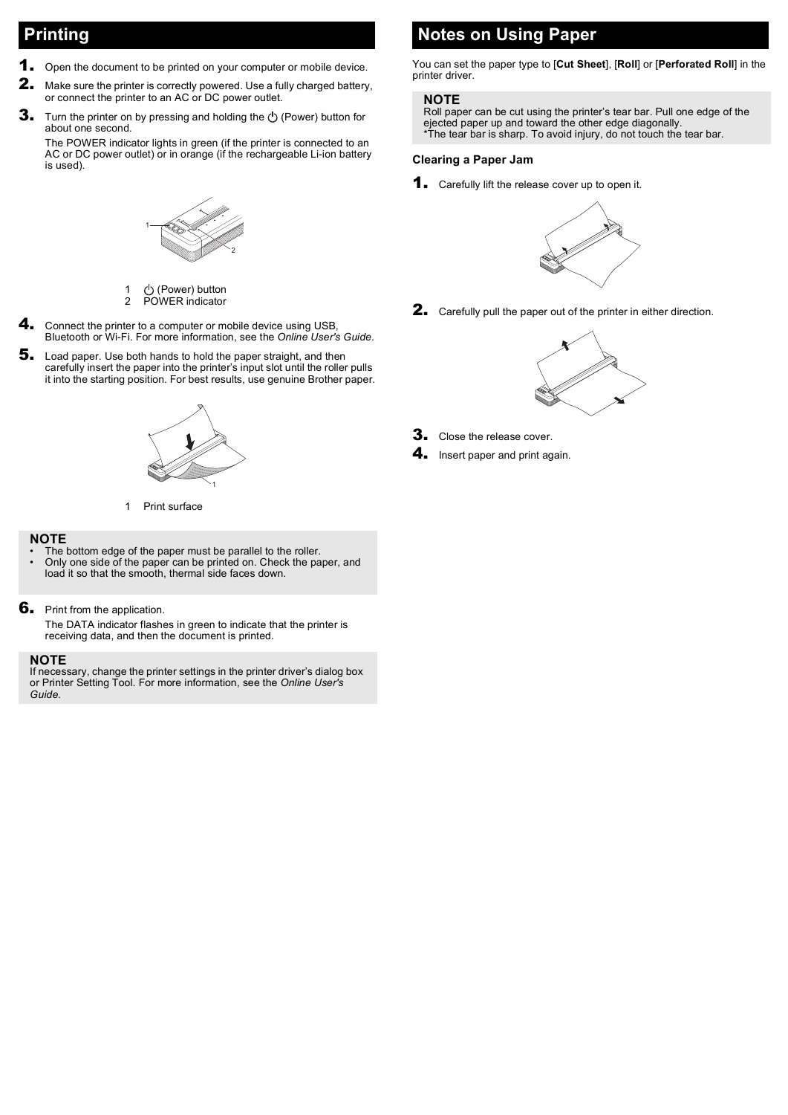# **Printing**

- **1.** Open the document to be printed on your computer or mobile device.
- **2.** Make sure the printer is correctly powered. Use a fully charged battery, or connect the printer to an AC or DC power outlet.
- **3.** Turn the printer on by pressing and holding the  $\bigcirc$  (Power) button for about one second.

The POWER indicator lights in green (if the printer is connected to an AC or DC power outlet) or in orange (if the rechargeable Li-ion battery is used).



1 (b) (Power) button<br>2 POWER indicator POWER indicator

- 4. Connect the printer to a computer or mobile device using USB, Bluetooth or Wi-Fi. For more information, see the *Online User's Guide*.
- 5. Load paper. Use both hands to hold the paper straight, and then carefully insert the paper into the printer's input slot until the roller pulls it into the starting position. For best results, use genuine Brother paper.



1 Print surface

#### **NOTE**

- The bottom edge of the paper must be parallel to the roller. • Only one side of the paper can be printed on. Check the paper, and load it so that the smooth, thermal side faces down.
- **6.** Print from the application.

The DATA indicator flashes in green to indicate that the printer is receiving data, and then the document is printed.

#### **NOTE**

If necessary, change the printer settings in the printer driver's dialog box or Printer Setting Tool. For more information, see the *Online User's Guide*.

# **Notes on Using Paper**

You can set the paper type to [**Cut Sheet**], [**Roll**] or [**Perforated Roll**] in the printer driver.

#### **NOTE**

Roll paper can be cut using the printer's tear bar. Pull one edge of the ejected paper up and toward the other edge diagonally. \*The tear bar is sharp. To avoid injury, do not touch the tear bar.

### <span id="page-3-0"></span>**Clearing a Paper Jam**

**1.** Carefully lift the release cover up to open it.



2. Carefully pull the paper out of the printer in either direction.



- **3.** Close the release cover.
- 4. Insert paper and print again.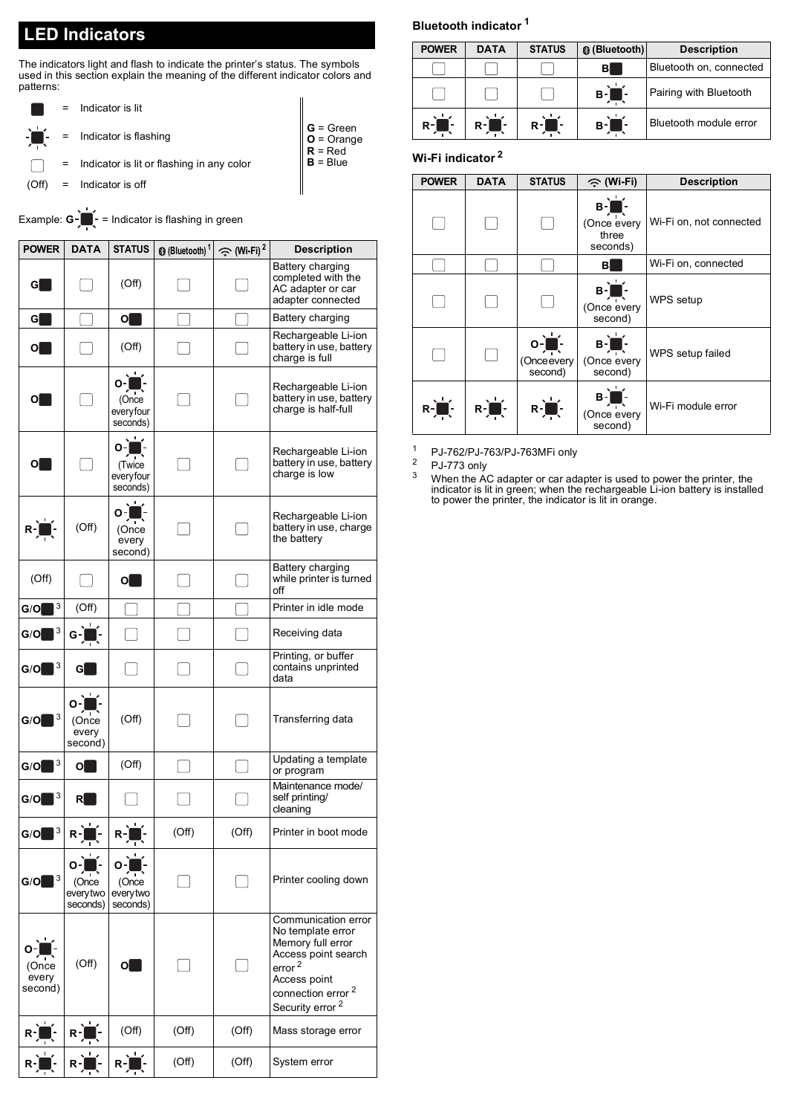# **LED Indicators**

The indicators light and flash to indicate the printer's status. The symbols used in this section explain the meaning of the different indicator colors and patterns:

- = Indicator is lit
- = Indicator is flashing
	- = Indicator is lit or flashing in any color
- (Off) = Indicator is off

# Example: **G** -  $\bullet$  = Indicator is flashing in green

| <b>POWER</b>              | <b>DATA</b>                         | <b>STATUS</b>                            | <sup>1</sup> (Bluetooth) <sup>1</sup> | $\Leftrightarrow$ (Wi-Fi) <sup>2</sup> | <b>Description</b>                                                                                                                                                                         |
|---------------------------|-------------------------------------|------------------------------------------|---------------------------------------|----------------------------------------|--------------------------------------------------------------------------------------------------------------------------------------------------------------------------------------------|
| G                         |                                     | (Off)                                    |                                       |                                        | Battery charging<br>completed with the<br>AC adapter or car<br>adapter connected                                                                                                           |
| G                         |                                     | $  \bullet  $                            |                                       |                                        | Battery charging                                                                                                                                                                           |
| 0                         |                                     | (Off)                                    |                                       |                                        | Rechargeable Li-ion<br>battery in use, battery<br>charge is full                                                                                                                           |
| 0L                        |                                     | $O -$<br>(Once<br>everyfour<br>seconds)  |                                       |                                        | Rechargeable Li-ion<br>battery in use, battery<br>charge is half-full                                                                                                                      |
| $O_{\blacksquare}$        |                                     | $o^2$<br>(Twice<br>everyfour<br>seconds) |                                       |                                        | Rechargeable Li-ion<br>battery in use, battery<br>charge is low                                                                                                                            |
| $R -$<br>ŀ                | (Off)                               | ٠<br>Ο<br>(Once<br>every<br>second)      |                                       |                                        | Rechargeable Li-ion<br>battery in use, charge<br>the battery                                                                                                                               |
| (Off)                     |                                     | $\overline{\mathbf{O}}$                  |                                       |                                        | Battery charging<br>while printer is turned<br>off                                                                                                                                         |
| 3<br>G/O                  | (Off)                               |                                          |                                       |                                        | Printer in idle mode                                                                                                                                                                       |
| 3<br>G/O                  | $G -$                               |                                          |                                       |                                        | Receiving data                                                                                                                                                                             |
| $G/O$ $3$                 | G                                   |                                          |                                       |                                        | Printing, or buffer<br>contains unprinted<br>data                                                                                                                                          |
| 3<br>G/O                  | O<br>(Once<br>every<br>second)      | (Off)                                    |                                       |                                        | Transferring data                                                                                                                                                                          |
| 3<br>G/O                  | $\overline{\mathbf{O}}$             | (Off)                                    |                                       |                                        | Updating a template<br>or program                                                                                                                                                          |
| 3<br>G/O                  | Rl                                  |                                          |                                       |                                        | Maintenance mode/<br>self printing/<br>cleaning                                                                                                                                            |
| 3<br>G/O                  | $R -$<br>т                          | $R-$<br>小                                | (Off)                                 | (Off)                                  | Printer in boot mode                                                                                                                                                                       |
| $G/O$ $3$                 | о-<br>(Once<br>everytwo<br>seconds) | O<br>(Once<br>everytwo<br>seconds)       |                                       |                                        | Printer cooling down                                                                                                                                                                       |
| (Once<br>every<br>second) | (Off)                               | $\overline{\mathbf{C}}$                  |                                       |                                        | Communication error<br>No template error<br>Memory full error<br>Access point search<br>error <sup>2</sup><br>Access point<br>connection error <sup>2</sup><br>Security error <sup>2</sup> |
|                           | $R -$                               | (Off)                                    | (Off)                                 | (Off)                                  | Mass storage error                                                                                                                                                                         |
|                           | R                                   | $R -$                                    | (Off)                                 | (Off)                                  | System error                                                                                                                                                                               |

# **Bluetooth indicator [1](#page-4-0)**

| <b>POWER</b> | <b>DATA</b> | <b>STATUS</b> | <b>@</b> (Bluetooth) | <b>Description</b>      |
|--------------|-------------|---------------|----------------------|-------------------------|
|              |             |               | в                    | Bluetooth on, connected |
|              |             |               | $B -$                | Pairing with Bluetooth  |
| $R -$        | $R -$       | $R -$         | в-П                  | Bluetooth module error  |

### **Wi-Fi indicator [2](#page-4-1)**

**G** = Green **O** = Orange **R** = Red **B** = Blue

| <b>POWER</b>          | <b>DATA</b>         | <b>STATUS</b>                                               | ⊝ (Wi-Fi)                                          | <b>Description</b>      |
|-----------------------|---------------------|-------------------------------------------------------------|----------------------------------------------------|-------------------------|
|                       |                     |                                                             | $B -$<br>(Once every<br>three<br>seconds)          | Wi-Fi on, not connected |
|                       |                     |                                                             | в                                                  | Wi-Fi on, connected     |
|                       |                     |                                                             | $B = \prod_{i=1}^{n}$<br>(Once every<br>second)    | WPS setup               |
|                       |                     | $o\left(\frac{1}{\sqrt{2}}\right)$<br>(Onceevery<br>second) | $B -$<br>(Once every<br>second)                    | WPS setup failed        |
| $R = \prod_{i=1}^{n}$ | $R^2$ $\frac{1}{2}$ | $R = \frac{1}{\sqrt{2}}$                                    | $B = \frac{1}{\sqrt{2}}$<br>(Once every<br>second) | Wi-Fi module error      |

<span id="page-4-0"></span><sup>1</sup> PJ-762/PJ-763/PJ-763MFi only

<span id="page-4-1"></span> $\frac{2}{3}$  PJ-773 only

<span id="page-4-2"></span><sup>3</sup> When the AC adapter or car adapter is used to power the printer, the indicator is lit in green; when the rechargeable Li-ion battery is installed to power the printer, the indicator is lit in orange.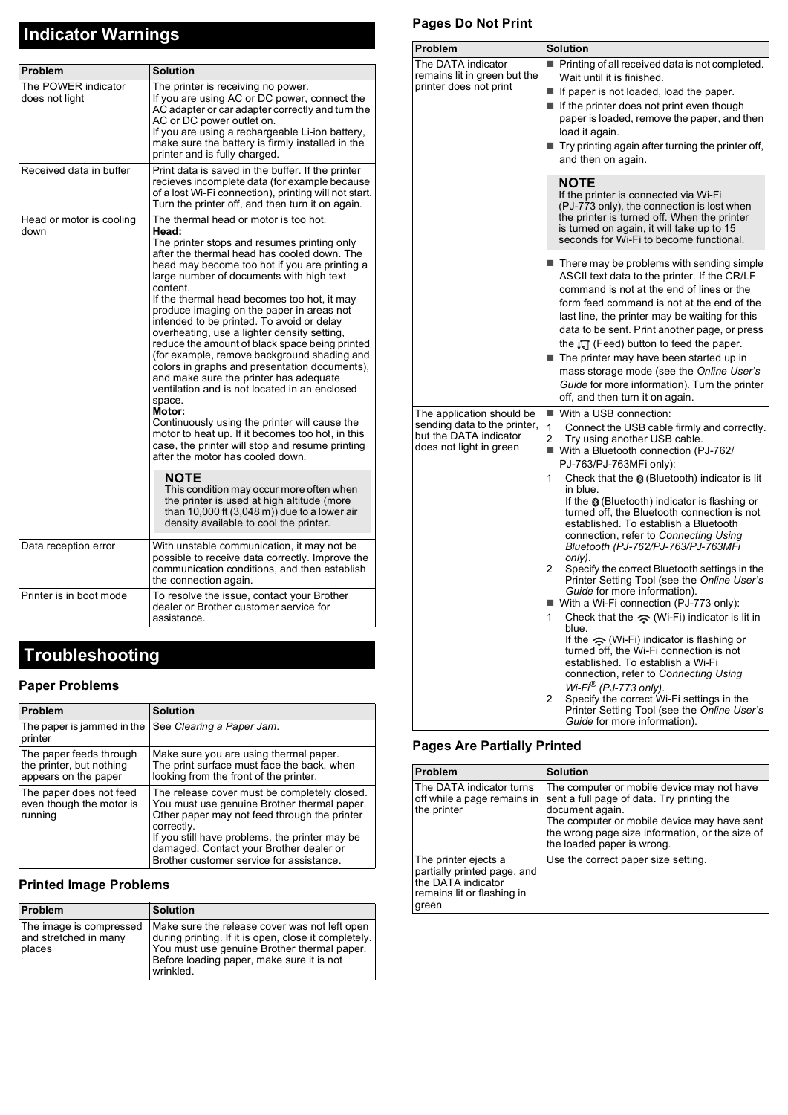# **Indicator Warnings**

| <b>Problem</b>                        | <b>Solution</b>                                                                                                                                                                                                                                                                                                                                                                                                                                                                                                                                                                                                                                                                                                                                                                                                                                                                                                                                                                                                                                                                                                        |
|---------------------------------------|------------------------------------------------------------------------------------------------------------------------------------------------------------------------------------------------------------------------------------------------------------------------------------------------------------------------------------------------------------------------------------------------------------------------------------------------------------------------------------------------------------------------------------------------------------------------------------------------------------------------------------------------------------------------------------------------------------------------------------------------------------------------------------------------------------------------------------------------------------------------------------------------------------------------------------------------------------------------------------------------------------------------------------------------------------------------------------------------------------------------|
| The POWER indicator<br>does not light | The printer is receiving no power.<br>If you are using AC or DC power, connect the<br>AC adapter or car adapter correctly and turn the<br>AC or DC power outlet on.<br>If you are using a rechargeable Li-ion battery.<br>make sure the battery is firmly installed in the<br>printer and is fully charged.                                                                                                                                                                                                                                                                                                                                                                                                                                                                                                                                                                                                                                                                                                                                                                                                            |
| Received data in buffer               | Print data is saved in the buffer. If the printer<br>recieves incomplete data (for example because<br>of a lost Wi-Fi connection), printing will not start.<br>Turn the printer off, and then turn it on again.                                                                                                                                                                                                                                                                                                                                                                                                                                                                                                                                                                                                                                                                                                                                                                                                                                                                                                        |
| Head or motor is cooling<br>down      | The thermal head or motor is too hot.<br>Head:<br>The printer stops and resumes printing only<br>after the thermal head has cooled down. The<br>head may become too hot if you are printing a<br>large number of documents with high text<br>content.<br>If the thermal head becomes too hot, it may<br>produce imaging on the paper in areas not<br>intended to be printed. To avoid or delay<br>overheating, use a lighter density setting,<br>reduce the amount of black space being printed<br>(for example, remove background shading and<br>colors in graphs and presentation documents),<br>and make sure the printer has adequate<br>ventilation and is not located in an enclosed<br>space.<br>Motor:<br>Continuously using the printer will cause the<br>motor to heat up. If it becomes too hot, in this<br>case, the printer will stop and resume printing<br>after the motor has cooled down.<br><b>NOTE</b><br>This condition may occur more often when<br>the printer is used at high altitude (more<br>than 10,000 ft $(3,048 \text{ m})$ due to a lower air<br>density available to cool the printer. |
| Data reception error                  | With unstable communication, it may not be<br>possible to receive data correctly. Improve the<br>communication conditions, and then establish<br>the connection again.                                                                                                                                                                                                                                                                                                                                                                                                                                                                                                                                                                                                                                                                                                                                                                                                                                                                                                                                                 |
| Printer is in boot mode               | To resolve the issue, contact your Brother<br>dealer or Brother customer service for<br>assistance.                                                                                                                                                                                                                                                                                                                                                                                                                                                                                                                                                                                                                                                                                                                                                                                                                                                                                                                                                                                                                    |

# **Troubleshooting**

## **Paper Problems**

| Problem                                                                     | <b>Solution</b>                                                                                                                                                                                                                                                                                    |
|-----------------------------------------------------------------------------|----------------------------------------------------------------------------------------------------------------------------------------------------------------------------------------------------------------------------------------------------------------------------------------------------|
| The paper is jammed in the<br>printer                                       | See Clearing a Paper Jam.                                                                                                                                                                                                                                                                          |
| The paper feeds through<br>the printer, but nothing<br>appears on the paper | Make sure you are using thermal paper.<br>The print surface must face the back, when<br>looking from the front of the printer.                                                                                                                                                                     |
| The paper does not feed<br>even though the motor is<br>running              | The release cover must be completely closed.<br>You must use genuine Brother thermal paper.<br>Other paper may not feed through the printer<br>correctly.<br>If you still have problems, the printer may be<br>damaged. Contact your Brother dealer or<br>Brother customer service for assistance. |

# **Printed Image Problems**

| Problem                                                    | <b>Solution</b>                                                                                                                                                                                                |
|------------------------------------------------------------|----------------------------------------------------------------------------------------------------------------------------------------------------------------------------------------------------------------|
| The image is compressed<br>and stretched in many<br>places | Make sure the release cover was not left open<br>during printing. If it is open, close it completely.<br>You must use genuine Brother thermal paper.<br>Before loading paper, make sure it is not<br>wrinkled. |

# **Pages Do Not Print**

| Solution                                                                                                                                                                                                                                                                                                                                                                                                                                                                                                                                                                                                                                                                                                                                                                                                                                                                                                                                                                                                                                                        |
|-----------------------------------------------------------------------------------------------------------------------------------------------------------------------------------------------------------------------------------------------------------------------------------------------------------------------------------------------------------------------------------------------------------------------------------------------------------------------------------------------------------------------------------------------------------------------------------------------------------------------------------------------------------------------------------------------------------------------------------------------------------------------------------------------------------------------------------------------------------------------------------------------------------------------------------------------------------------------------------------------------------------------------------------------------------------|
| Printing of all received data is not completed.<br>Wait until it is finished.<br>$\blacksquare$ If paper is not loaded, load the paper.<br>If the printer does not print even though<br>paper is loaded, remove the paper, and then<br>load it again.<br>Try printing again after turning the printer off,<br>and then on again.                                                                                                                                                                                                                                                                                                                                                                                                                                                                                                                                                                                                                                                                                                                                |
| <b>NOTE</b><br>If the printer is connected via Wi-Fi<br>(PJ-773 only), the connection is lost when<br>the printer is turned off. When the printer<br>is turned on again, it will take up to 15<br>seconds for Wi-Fi to become functional.                                                                                                                                                                                                                                                                                                                                                                                                                                                                                                                                                                                                                                                                                                                                                                                                                       |
| $\blacksquare$ There may be problems with sending simple<br>ASCII text data to the printer. If the CR/LF<br>command is not at the end of lines or the<br>form feed command is not at the end of the<br>last line, the printer may be waiting for this<br>data to be sent. Print another page, or press<br>the $\sqrt{u}$ (Feed) button to feed the paper.<br>The printer may have been started up in<br>mass storage mode (see the Online User's<br>Guide for more information). Turn the printer<br>off, and then turn it on again.                                                                                                                                                                                                                                                                                                                                                                                                                                                                                                                            |
| ■ With a USB connection:<br>1<br>Connect the USB cable firmly and correctly.<br>2<br>Try using another USB cable.<br>■ With a Bluetooth connection (PJ-762/<br>PJ-763/PJ-763MFi only):<br>Check that the $\odot$ (Bluetooth) indicator is lit<br>1<br>in blue.<br>If the $\odot$ (Bluetooth) indicator is flashing or<br>turned off, the Bluetooth connection is not<br>established. To establish a Bluetooth<br>connection, refer to Connecting Using<br>Bluetooth (PJ-762/PJ-763/PJ-763MFi<br>only).<br>2<br>Specify the correct Bluetooth settings in the<br>Printer Setting Tool (see the Online User's<br>Guide for more information).<br>■ With a Wi-Fi connection (PJ-773 only):<br>Check that the $\leq$ (Wi-Fi) indicator is lit in<br>1<br>blue.<br>If the $\leq$ (Wi-Fi) indicator is flashing or<br>turned off, the Wi-Fi connection is not<br>established. To establish a Wi-Fi<br>connection, refer to Connecting Using<br>Wi-Fi® (PJ-773 only).<br>2<br>Specify the correct Wi-Fi settings in the<br>Printer Setting Tool (see the Online User's |
|                                                                                                                                                                                                                                                                                                                                                                                                                                                                                                                                                                                                                                                                                                                                                                                                                                                                                                                                                                                                                                                                 |

# **Pages Are Partially Printed**

| Problem                                                                                                          | <b>Solution</b>                                                                                                                                                                                                                             |
|------------------------------------------------------------------------------------------------------------------|---------------------------------------------------------------------------------------------------------------------------------------------------------------------------------------------------------------------------------------------|
| The DATA indicator turns<br>off while a page remains in<br>the printer                                           | The computer or mobile device may not have<br>sent a full page of data. Try printing the<br>document again.<br>The computer or mobile device may have sent<br>the wrong page size information, or the size of<br>the loaded paper is wrong. |
| The printer ejects a<br>partially printed page, and<br>the DATA indicator<br>remains lit or flashing in<br>green | Use the correct paper size setting.                                                                                                                                                                                                         |

*Guide* for more information).